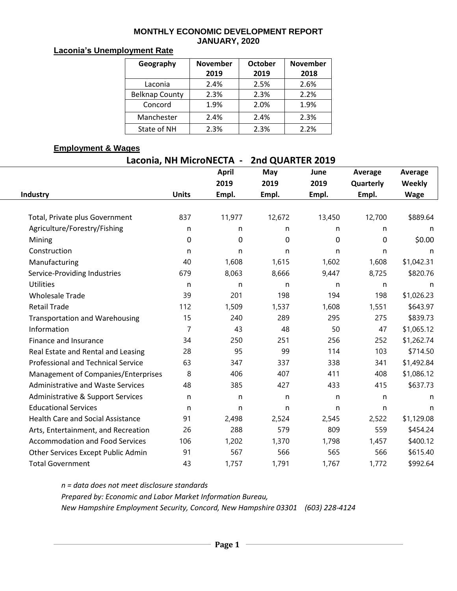#### **MONTHLY ECONOMIC DEVELOPMENT REPORT JANUARY, 2020**

### **Laconia's Unemployment Rate**

| Geography             | <b>November</b> | <b>October</b> | <b>November</b> |  |  |
|-----------------------|-----------------|----------------|-----------------|--|--|
|                       | 2019            | 2019           | 2018            |  |  |
| Laconia               | 2.4%            | 2.5%           | 2.6%            |  |  |
| <b>Belknap County</b> | 2.3%            | 2.3%           | 2.2%            |  |  |
| Concord               | 1.9%            | 2.0%           | 1.9%            |  |  |
| Manchester            | 2.4%            | 2.4%           | 2.3%            |  |  |
| State of NH           | 2.3%            | 2.3%           | 2.2%            |  |  |

#### **Employment & Wages**

| Laconia, NH MicroNECTA -<br>2nd QUARTER 2019 |              |              |        |        |           |                                                                                                                                                                                                                                                                        |  |  |  |  |
|----------------------------------------------|--------------|--------------|--------|--------|-----------|------------------------------------------------------------------------------------------------------------------------------------------------------------------------------------------------------------------------------------------------------------------------|--|--|--|--|
|                                              |              | <b>April</b> | May    | June   | Average   | Average                                                                                                                                                                                                                                                                |  |  |  |  |
|                                              |              | 2019         | 2019   | 2019   | Quarterly | Weekly<br><b>Wage</b><br>\$889.64<br>n<br>\$0.00<br>n<br>\$1,042.31<br>\$820.76<br>n<br>\$1,026.23<br>\$643.97<br>\$839.73<br>\$1,065.12<br>\$1,262.74<br>\$714.50<br>\$1,492.84<br>\$1,086.12<br>\$637.73<br>n<br>n<br>\$1,129.08<br>\$454.24<br>\$400.12<br>\$615.40 |  |  |  |  |
| <b>Industry</b>                              | <b>Units</b> | Empl.        | Empl.  | Empl.  | Empl.     |                                                                                                                                                                                                                                                                        |  |  |  |  |
|                                              |              |              |        |        |           |                                                                                                                                                                                                                                                                        |  |  |  |  |
| Total, Private plus Government               | 837          | 11,977       | 12,672 | 13,450 | 12,700    |                                                                                                                                                                                                                                                                        |  |  |  |  |
| Agriculture/Forestry/Fishing                 | n            | n            | n      | n      | n         |                                                                                                                                                                                                                                                                        |  |  |  |  |
| Mining                                       | 0            | $\mathbf 0$  | 0      | 0      | 0         |                                                                                                                                                                                                                                                                        |  |  |  |  |
| Construction                                 | n            | n            | n      | n      | n         |                                                                                                                                                                                                                                                                        |  |  |  |  |
| Manufacturing                                | 40           | 1,608        | 1,615  | 1,602  | 1,608     |                                                                                                                                                                                                                                                                        |  |  |  |  |
| Service-Providing Industries                 | 679          | 8,063        | 8,666  | 9,447  | 8,725     |                                                                                                                                                                                                                                                                        |  |  |  |  |
| <b>Utilities</b>                             | n            | n            | n      | n      | n         |                                                                                                                                                                                                                                                                        |  |  |  |  |
| <b>Wholesale Trade</b>                       | 39           | 201          | 198    | 194    | 198       |                                                                                                                                                                                                                                                                        |  |  |  |  |
| <b>Retail Trade</b>                          | 112          | 1,509        | 1,537  | 1,608  | 1,551     |                                                                                                                                                                                                                                                                        |  |  |  |  |
| <b>Transportation and Warehousing</b>        | 15           | 240          | 289    | 295    | 275       |                                                                                                                                                                                                                                                                        |  |  |  |  |
| Information                                  | 7            | 43           | 48     | 50     | 47        |                                                                                                                                                                                                                                                                        |  |  |  |  |
| Finance and Insurance                        | 34           | 250          | 251    | 256    | 252       |                                                                                                                                                                                                                                                                        |  |  |  |  |
| Real Estate and Rental and Leasing           | 28           | 95           | 99     | 114    | 103       |                                                                                                                                                                                                                                                                        |  |  |  |  |
| <b>Professional and Technical Service</b>    | 63           | 347          | 337    | 338    | 341       |                                                                                                                                                                                                                                                                        |  |  |  |  |
| Management of Companies/Enterprises          | 8            | 406          | 407    | 411    | 408       |                                                                                                                                                                                                                                                                        |  |  |  |  |
| <b>Administrative and Waste Services</b>     | 48           | 385          | 427    | 433    | 415       |                                                                                                                                                                                                                                                                        |  |  |  |  |
| Administrative & Support Services            | n            | n            | n.     | n      | n         |                                                                                                                                                                                                                                                                        |  |  |  |  |
| <b>Educational Services</b>                  | n            | n            | n      | n      | n         |                                                                                                                                                                                                                                                                        |  |  |  |  |
| <b>Health Care and Social Assistance</b>     | 91           | 2,498        | 2,524  | 2,545  | 2,522     |                                                                                                                                                                                                                                                                        |  |  |  |  |
| Arts, Entertainment, and Recreation          | 26           | 288          | 579    | 809    | 559       |                                                                                                                                                                                                                                                                        |  |  |  |  |
| <b>Accommodation and Food Services</b>       | 106          | 1,202        | 1,370  | 1,798  | 1,457     |                                                                                                                                                                                                                                                                        |  |  |  |  |
| Other Services Except Public Admin           | 91           | 567          | 566    | 565    | 566       |                                                                                                                                                                                                                                                                        |  |  |  |  |
| <b>Total Government</b>                      | 43           | 1,757        | 1,791  | 1,767  | 1,772     | \$992.64                                                                                                                                                                                                                                                               |  |  |  |  |

*n = data does not meet disclosure standards Prepared by: Economic and Labor Market Information Bureau, New Hampshire Employment Security, Concord, New Hampshire 03301 (603) 228-4124*